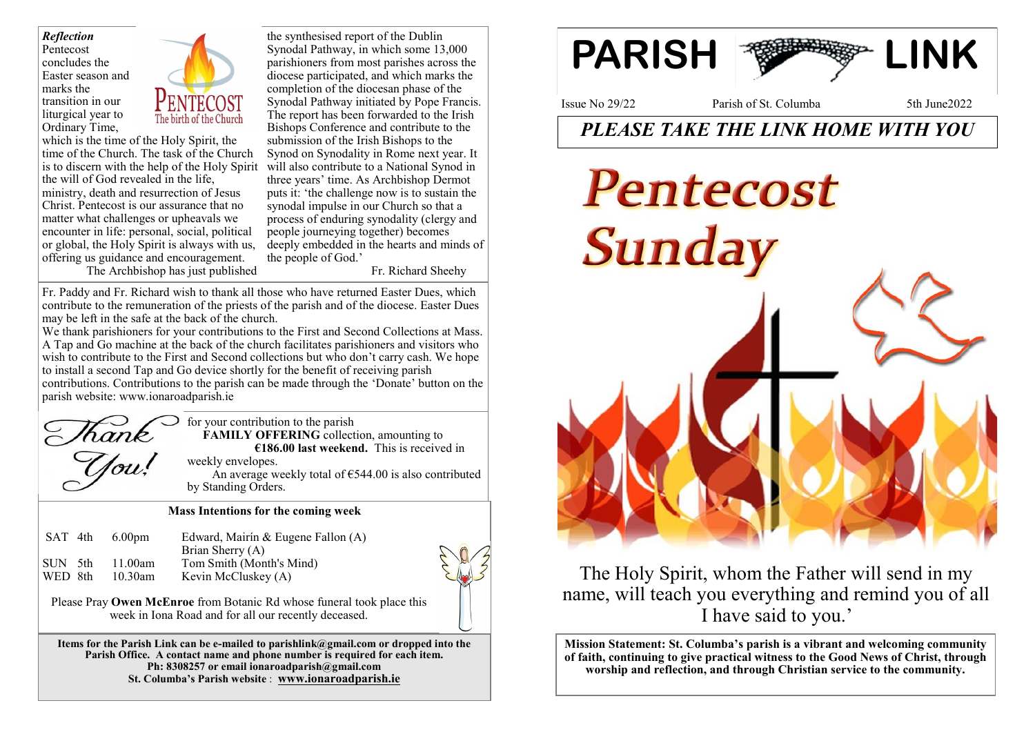*Reflection* Pentecost concludes the Easter season and marks the transition in our liturgical year to Ordinary Time,



which is the time of the Holy Spirit, the time of the Church. The task of the Church is to discern with the help of the Holy Spirit will also contribute to a National Synod in the will of God revealed in the life, ministry, death and resurrection of Jesus Christ. Pentecost is our assurance that no matter what challenges or upheavals we encounter in life: personal, social, political or global, the Holy Spirit is always with us, offering us guidance and encouragement. The Archbishop has just published

the synthesised report of the Dublin Synodal Pathway, in which some 13,000 parishioners from most parishes across the diocese participated, and which marks the completion of the diocesan phase of the Synodal Pathway initiated by Pope Francis. The report has been forwarded to the Irish Bishops Conference and contribute to the submission of the Irish Bishops to the Synod on Synodality in Rome next year. It three years' time. As Archbishop Dermot puts it: 'the challenge now is to sustain the synodal impulse in our Church so that a process of enduring synodality (clergy and people journeying together) becomes deeply embedded in the hearts and minds of the people of God.'

Fr. Richard Sheehy

Fr. Paddy and Fr. Richard wish to thank all those who have returned Easter Dues, which contribute to the remuneration of the priests of the parish and of the diocese. Easter Dues may be left in the safe at the back of the church.

We thank parishioners for your contributions to the First and Second Collections at Mass. A Tap and Go machine at the back of the church facilitates parishioners and visitors who wish to contribute to the First and Second collections but who don't carry cash. We hope to install a second Tap and Go device shortly for the benefit of receiving parish contributions. Contributions to the parish can be made through the 'Donate' button on the parish website: www.ionaroadparish.ie



for your contribution to the parish **FAMILY OFFERING** collection, amounting to **€186.00 last weekend.** This is received in weekly envelopes.

An average weekly total of  $€544.00$  is also contributed by Standing Orders.

#### **Mass Intentions for the coming week**

| SAT 4th | 6.00 <sub>pm</sub> | Edward, Mairín & Eugene Fallon (A)<br>Brian Sherry (A) |
|---------|--------------------|--------------------------------------------------------|
| SUN 5th | 11.00am            | Tom Smith (Month's Mind)                               |
| WED 8th | $10.30$ am         | Kevin McCluskey (A)                                    |



Please Pray **Owen McEnroe** from Botanic Rd whose funeral took place this week in Iona Road and for all our recently deceased.

**Items for the Parish Link can be e-mailed to parishlink@gmail.com or dropped into the Parish Office. A contact name and phone number is required for each item. Ph: 8308257 or email ionaroadparish@gmail.com St. Columba's Parish website** : **www.ionaroadparish.ie** 



Issue No 29/22 Parish of St. Columba 5th June2022

# *PLEASE TAKE THE LINK HOME WITH YOU*



The Holy Spirit, whom the Father will send in my name, will teach you everything and remind you of all I have said to you.'

**Mission Statement: St. Columba's parish is a vibrant and welcoming community of faith, continuing to give practical witness to the Good News of Christ, through worship and reflection, and through Christian service to the community.**